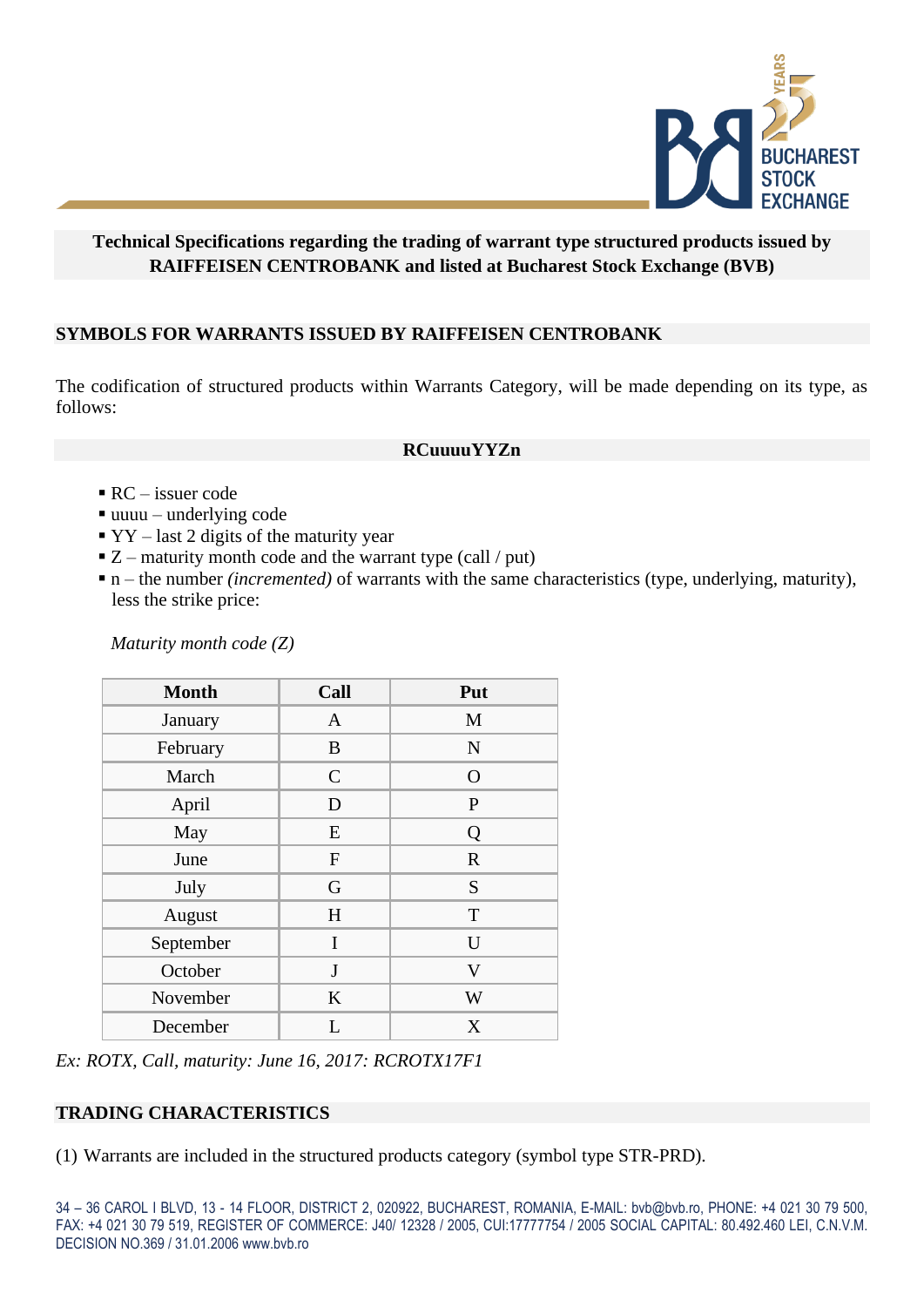

## **Technical Specifications regarding the trading of warrant type structured products issued by RAIFFEISEN CENTROBANK and listed at Bucharest Stock Exchange (BVB)**

# **SYMBOLS FOR WARRANTS ISSUED BY RAIFFEISEN CENTROBANK**

The codification of structured products within Warrants Category, will be made depending on its type, as follows:

#### **RCuuuuYYZn**

#### $\blacksquare$  RC – issuer code

- $\blacksquare$  uuuu underlying code
- $\textbf{y} \cdot \textbf{y} \text{last 2 digits of the maturity year}$
- $\blacksquare$  Z maturity month code and the warrant type (call / put)
- n the number *(incremented)* of warrants with the same characteristics (type, underlying, maturity), less the strike price:

*Maturity month code (Z)*

| <b>Month</b> | Call          | Put          |
|--------------|---------------|--------------|
| January      | $\mathbf{A}$  | M            |
| February     | B             | $\mathbf N$  |
| March        | $\mathcal{C}$ | $\Omega$     |
| April        | D             | $\mathbf{P}$ |
| May          | E             | Q            |
| June         | $\mathbf{F}$  | $\mathbf R$  |
| July         | G             | S            |
| August       | H             | T            |
| September    | I             | U            |
| October      | J             | V            |
| November     | K             | W            |
| December     | L             | X            |

*Ex: ROTX, Call, maturity: June 16, 2017: RCROTX17F1*

### **TRADING CHARACTERISTICS**

(1) Warrants are included in the structured products category (symbol type STR-PRD).

34 – 36 CAROL I BLVD, 13 - 14 FLOOR, DISTRICT 2, 020922, BUCHAREST, ROMANIA, E-MAIL: bvb@bvb.ro, PHONE: +4 021 30 79 500, FAX: +4 021 30 79 519, REGISTER OF COMMERCE: J40/ 12328 / 2005, CUI:17777754 / 2005 SOCIAL CAPITAL: 80.492.460 LEI, C.N.V.M. DECISION NO.369 / 31.01.2006 www.bvb.ro